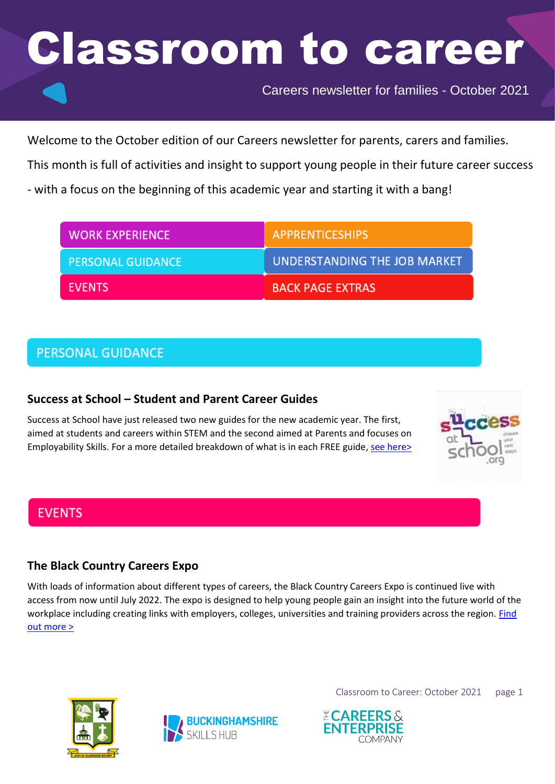Careers newsletter for families - October 2021

Welcome to the October edition of our Careers newsletter for parents, carers and families.

This month is full of activities and insight to support young people in their future career success

- with a focus on the beginning of this academic year and starting it with a bang!

| <b>WORK EXPERIENCE</b>   | <b>APPRENTICESHIPS</b>       |
|--------------------------|------------------------------|
| <b>PERSONAL GUIDANCE</b> | UNDERSTANDING THE JOB MARKET |
| <b>EVENTS</b>            | <b>BACK PAGE EXTRAS</b>      |

## **PERSONAL GUIDANCE**

### **Success at School – Student and Parent Career Guides**

Success at School have just released two new guides for the new academic year. The first, aimed at students and careers within STEM and the second aimed at Parents and focuses on Employability Skills. For a more detailed breakdown of what is in each FREE guide, [see here>](https://bucksskillshub.org/career-seeker/resources/success-at-school)



## **EVENTS**

### **The Black Country Careers Expo**

With loads of information about different types of careers, the Black Country Careers Expo is continued live with access from now until July 2022. The expo is designed to help young people gain an insight into the future world of the workplace including creating links with employers, colleges, universities and training providers across the region. Find [out more >](https://blackcountrycareers-expo.co.uk/)





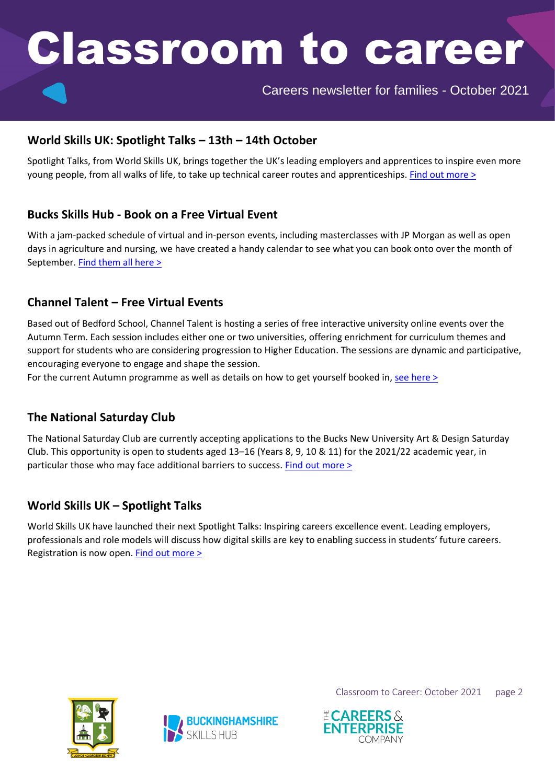Careers newsletter for families - October 2021

#### **World Skills UK: Spotlight Talks – 13th – 14th October**

Spotlight Talks, from World Skills UK, brings together the UK's leading employers and apprentices to inspire even more young people, from all walks of life, to take up technical career routes and apprenticeships. [Find out more](https://www.worldskillsuk.org/careers-advice/spotlight-talks-inspiring-careers-excellence/?dm_t=0,0,0,0,0) >

#### **Bucks Skills Hub - Book on a Free Virtual Event**

With a jam-packed schedule of virtual and in-person events, including masterclasses with JP Morgan as well as open days in agriculture and nursing, we have created a handy calendar to see what you can book onto over the month of September. [Find them all here >](https://bucksskillshub.org/events/this-month)

### **Channel Talent – Free Virtual Events**

Based out of Bedford School, Channel Talent is hosting a series of free interactive university online events over the Autumn Term. Each session includes either one or two universities, offering enrichment for curriculum themes and support for students who are considering progression to Higher Education. The sessions are dynamic and participative, encouraging everyone to engage and shape the session.

For the current Autumn programme as well as details on how to get yourself booked in[, see here >](https://bucksskillshub.org/career-seeker/resources/channel-talent)

#### **The National Saturday Club**

The National Saturday Club are currently accepting applications to the Bucks New University Art & Design Saturday Club. This opportunity is open to students aged 13–16 (Years 8, 9, 10 & 11) for the 2021/22 academic year, in particular those who may face additional barriers to success. Find out [more](https://bucksskillshub.org/career-seeker/resources/the-national-saturday-club) >

#### **World Skills UK – Spotlight Talks**

World Skills UK have launched their next Spotlight Talks: Inspiring careers excellence event. Leading employers, professionals and role models will discuss how digital skills are key to enabling success in students' future careers. Registration is now open. [Find out more >](https://bucksskillshub.org/career-seeker/resources/world-skills-uk-spotlight-talks)





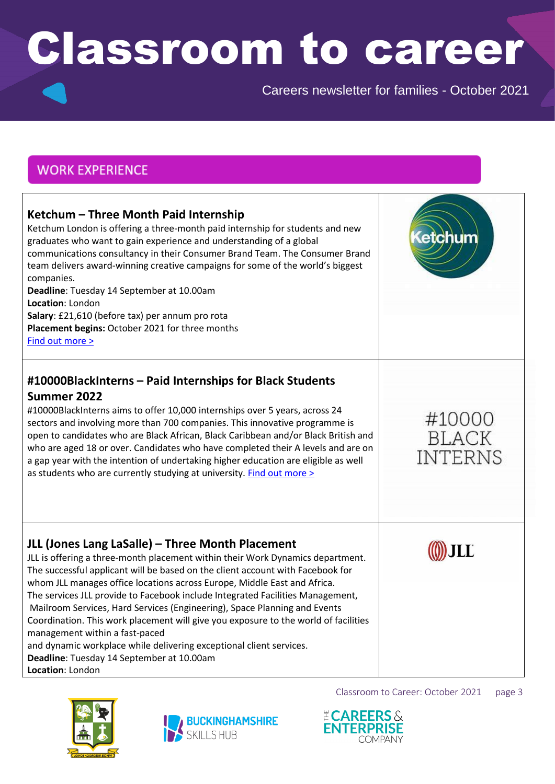Careers newsletter for families - October 2021

## **WORK EXPERIENCE**

| Ketchum - Three Month Paid Internship<br>Ketchum London is offering a three-month paid internship for students and new<br>graduates who want to gain experience and understanding of a global<br>communications consultancy in their Consumer Brand Team. The Consumer Brand<br>team delivers award-winning creative campaigns for some of the world's biggest<br>companies.<br>Deadline: Tuesday 14 September at 10.00am<br>Location: London<br>Salary: £21,610 (before tax) per annum pro rota<br>Placement begins: October 2021 for three months<br>Find out more >                                                                                                                                                           | tchum                             |
|----------------------------------------------------------------------------------------------------------------------------------------------------------------------------------------------------------------------------------------------------------------------------------------------------------------------------------------------------------------------------------------------------------------------------------------------------------------------------------------------------------------------------------------------------------------------------------------------------------------------------------------------------------------------------------------------------------------------------------|-----------------------------------|
| #10000BlackInterns - Paid Internships for Black Students<br>Summer 2022<br>#10000BlackInterns aims to offer 10,000 internships over 5 years, across 24<br>sectors and involving more than 700 companies. This innovative programme is<br>open to candidates who are Black African, Black Caribbean and/or Black British and<br>who are aged 18 or over. Candidates who have completed their A levels and are on<br>a gap year with the intention of undertaking higher education are eligible as well<br>as students who are currently studying at university. Find out more >                                                                                                                                                   | #10000<br>BLACK<br><b>INTERNS</b> |
| JLL (Jones Lang LaSalle) - Three Month Placement<br>JLL is offering a three-month placement within their Work Dynamics department.<br>The successful applicant will be based on the client account with Facebook for<br>whom JLL manages office locations across Europe, Middle East and Africa.<br>The services JLL provide to Facebook include Integrated Facilities Management,<br>Mailroom Services, Hard Services (Engineering), Space Planning and Events<br>Coordination. This work placement will give you exposure to the world of facilities<br>management within a fast-paced<br>and dynamic workplace while delivering exceptional client services.<br>Deadline: Tuesday 14 September at 10.00am<br>Location: London |                                   |





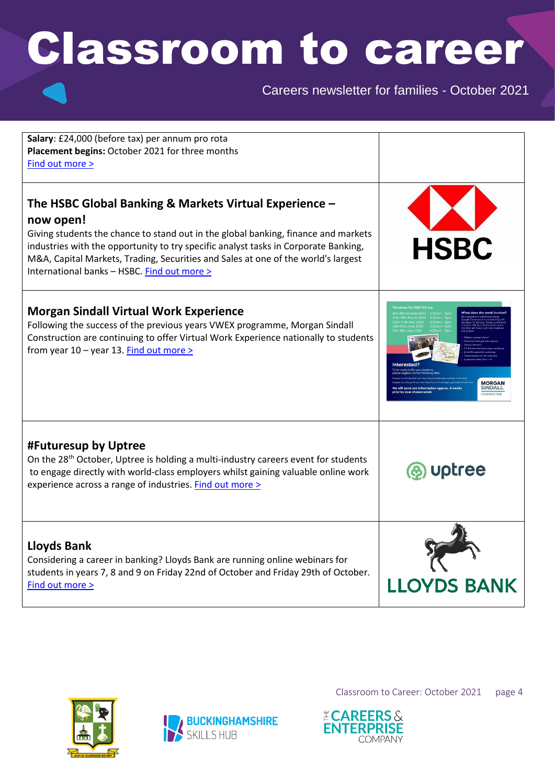Careers newsletter for families - October 2021

| Salary: £24,000 (before tax) per annum pro rota<br>Placement begins: October 2021 for three months<br>Find out more >                                                                                                                                                                                                                                                                |                    |
|--------------------------------------------------------------------------------------------------------------------------------------------------------------------------------------------------------------------------------------------------------------------------------------------------------------------------------------------------------------------------------------|--------------------|
| The HSBC Global Banking & Markets Virtual Experience -<br>now open!<br>Giving students the chance to stand out in the global banking, finance and markets<br>industries with the opportunity to try specific analyst tasks in Corporate Banking,<br>M&A, Capital Markets, Trading, Securities and Sales at one of the world's largest<br>International banks - HSBC. Find out more > | <b>HSBC</b>        |
| <b>Morgan Sindall Virtual Work Experience</b><br>Following the success of the previous years VWEX programme, Morgan Sindall<br>Construction are continuing to offer Virtual Work Experience nationally to students<br>from year 10 - year 13. Find out more >                                                                                                                        | <b>SINDALI</b>     |
| #Futuresup by Uptree<br>On the $28th$ October, Uptree is holding a multi-industry careers event for students<br>to engage directly with world-class employers whilst gaining valuable online work<br>experience across a range of industries. Find out more >                                                                                                                        | <b>Uptree</b>      |
| <b>Lloyds Bank</b><br>Considering a career in banking? Lloyds Bank are running online webinars for<br>students in years 7, 8 and 9 on Friday 22nd of October and Friday 29th of October.<br>Find out more >                                                                                                                                                                          | <b>LLOYDS BANK</b> |





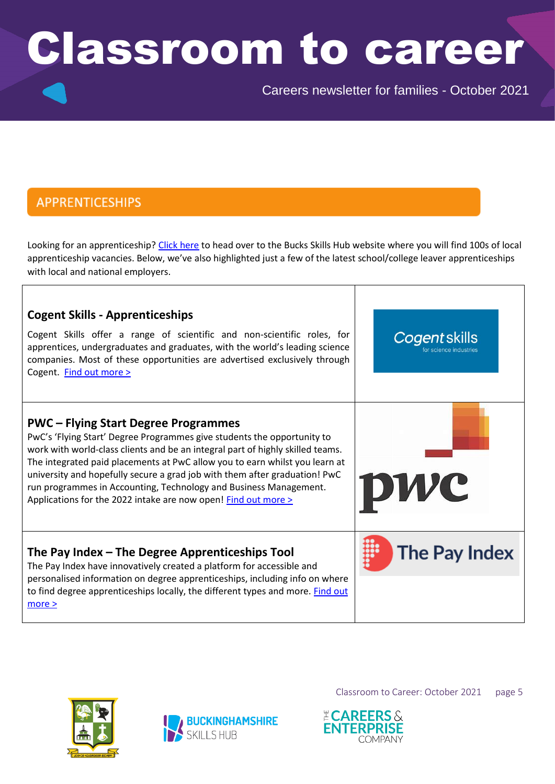Careers newsletter for families - October 2021

## **APPRENTICESHIPS**

Looking for an apprenticeship? [Click here](https://bucksskillshub.org/opportunities/apprenticeships/search) to head over to the Bucks Skills Hub website where you will find 100s of local apprenticeship vacancies. Below, we've also highlighted just a few of the latest school/college leaver apprenticeships with local and national employers.

| <b>Cogent Skills - Apprenticeships</b><br>Cogent Skills offer a range of scientific and non-scientific roles, for<br>apprentices, undergraduates and graduates, with the world's leading science<br>companies. Most of these opportunities are advertised exclusively through<br>Cogent. Find out more >                                                                                                                                                                                                     | Cogent skills<br>for science industries |
|--------------------------------------------------------------------------------------------------------------------------------------------------------------------------------------------------------------------------------------------------------------------------------------------------------------------------------------------------------------------------------------------------------------------------------------------------------------------------------------------------------------|-----------------------------------------|
| <b>PWC</b> – Flying Start Degree Programmes<br>PwC's 'Flying Start' Degree Programmes give students the opportunity to<br>work with world-class clients and be an integral part of highly skilled teams.<br>The integrated paid placements at PwC allow you to earn whilst you learn at<br>university and hopefully secure a grad job with them after graduation! PwC<br>run programmes in Accounting, Technology and Business Management.<br>Applications for the 2022 intake are now open! Find out more > | <b>DWC</b>                              |
| The Pay Index – The Degree Apprenticeships Tool<br>The Pay Index have innovatively created a platform for accessible and<br>personalised information on degree apprenticeships, including info on where<br>to find degree apprenticeships locally, the different types and more. Find out<br>more >                                                                                                                                                                                                          | <b>The Pay Index</b>                    |





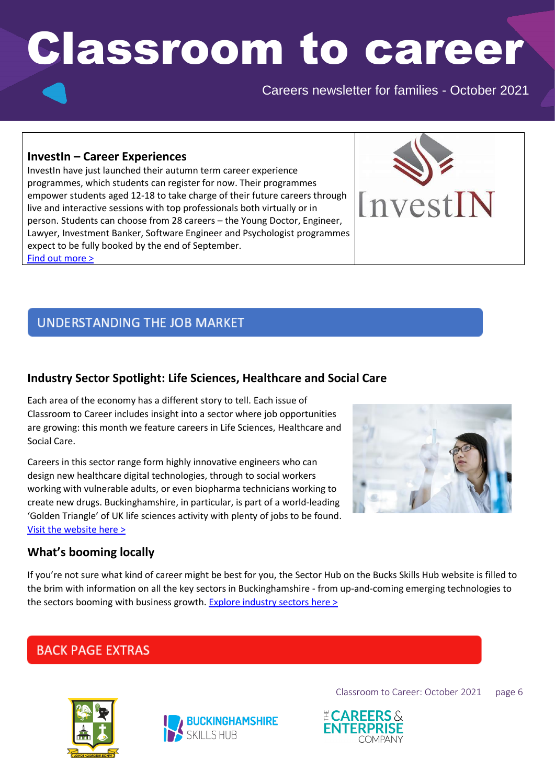Careers newsletter for families - October 2021

InvestIN

#### **InvestIn – Career Experiences**

InvestIn have just launched their autumn term career experience programmes, which students can register for now. Their programmes empower students aged 12-18 to take charge of their future careers through live and interactive sessions with top professionals both virtually or in person. Students can choose from 28 careers – the Young Doctor, Engineer, Lawyer, Investment Banker, Software Engineer and Psychologist programmes expect to be fully booked by the end of September. [Find out more >](https://investin.org/pages/choose-your-career)

## **UNDERSTANDING THE JOB MARKET**

### **Industry Sector Spotlight: Life Sciences, Healthcare and Social Care**

Each area of the economy has a different story to tell. Each issue of Classroom to Career includes insight into a sector where job opportunities are growing: this month we feature careers in Life Sciences, Healthcare and Social Care.

Careers in this sector range form highly innovative engineers who can design new healthcare digital technologies, through to social workers working with vulnerable adults, or even biopharma technicians working to create new drugs. Buckinghamshire, in particular, is part of a world-leading 'Golden Triangle' of UK life sciences activity with plenty of jobs to be found. [Visit the website here >](https://bucksskillshub.org/sectors/life-science-healthcare-and-social-care)



#### **What's booming locally**

If you're not sure what kind of career might be best for you, the Sector Hub on the Bucks Skills Hub website is filled to the brim with information on all the key sectors in Buckinghamshire - from up-and-coming emerging technologies to the sectors booming with business growth. [Explore industry sectors](https://bucksskillshub.org/sectors) here >

## **BACK PAGE EXTRAS**





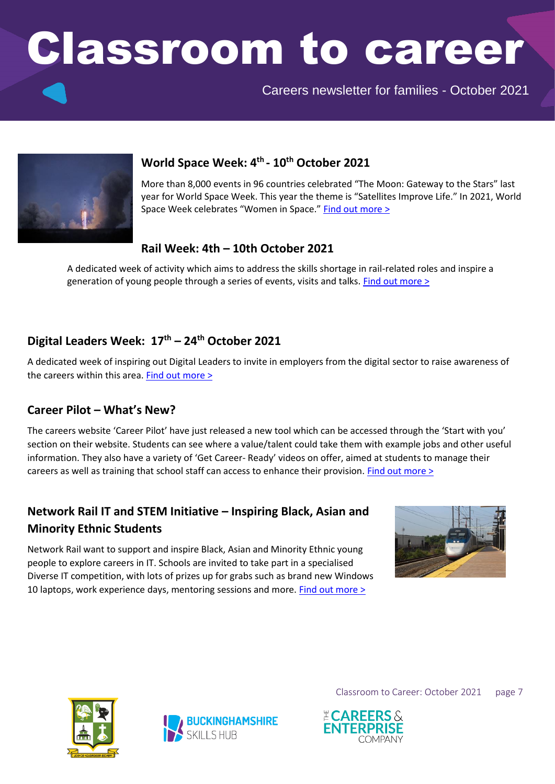Careers newsletter for families - October 2021



## **World Space Week: 4 th - 10th October 2021**

More than 8,000 events in 96 countries celebrated "The Moon: Gateway to the Stars" last year for World Space Week. This year the theme is "Satellites Improve Life." In 2021, World Space Week celebrates "Women in Space." [Find out more >](https://www.worldspaceweek.org/theme/)

### **Rail Week: 4th – 10th October 2021**

A dedicated week of activity which aims to address the skills shortage in rail-related roles and inspire a generation of young people through a series of events, visits and talks[. Find out more >](http://www.railweek.com/)

## **Digital Leaders Week: 17th – 24th October 2021**

A dedicated week of inspiring out Digital Leaders to invite in employers from the digital sector to raise awareness of the careers within this area. [Find out more >](https://digileaders.com/)

#### **Career Pilot – What's New?**

The careers website 'Career Pilot' have just released a new tool which can be accessed through the 'Start with you' section on their website. Students can see where a value/talent could take them with example jobs and other useful information. They also have a variety of 'Get Career- Ready' videos on offer, aimed at students to manage their careers as well as training that school staff can access to enhance their provision. [Find out more >](https://www.careerpilot.org.uk/)

## **Network Rail IT and STEM Initiative – Inspiring Black, Asian and Minority Ethnic Students**

Network Rail want to support and inspire Black, Asian and Minority Ethnic young people to explore careers in IT. Schools are invited to take part in a specialised Diverse IT competition, with lots of prizes up for grabs such as brand new Windows 10 laptops, work experience days, mentoring sessions and more. [Find out more >](https://www.networkrail.co.uk/careers/early-careers/diverse-it-have-you-got-the-it-factor/)